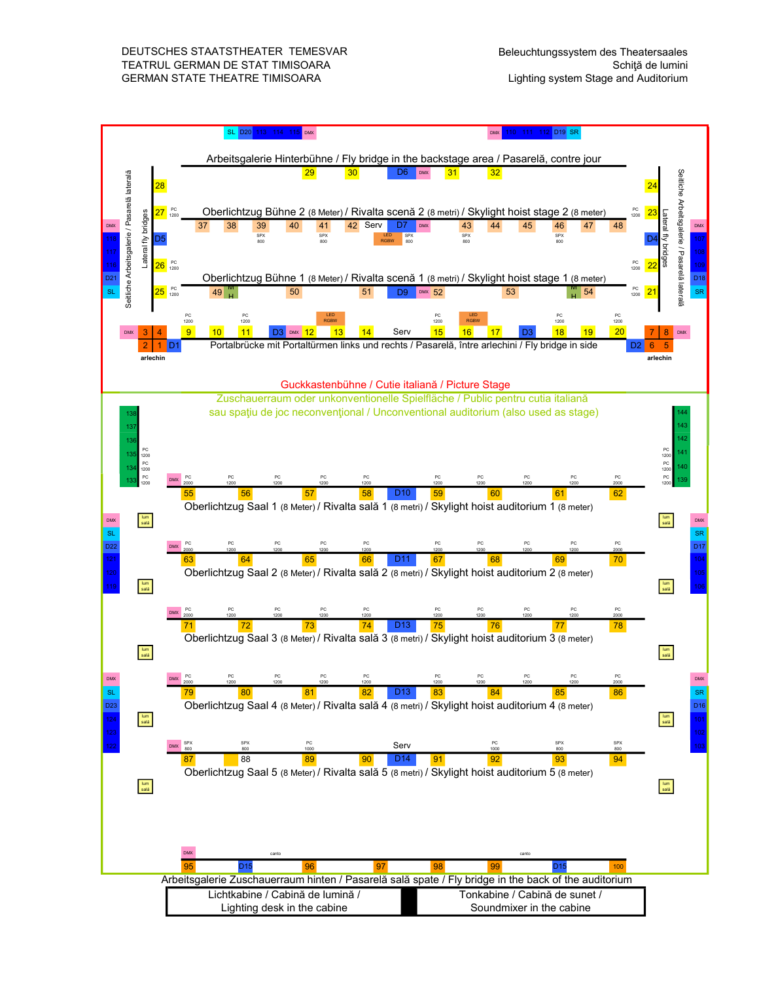